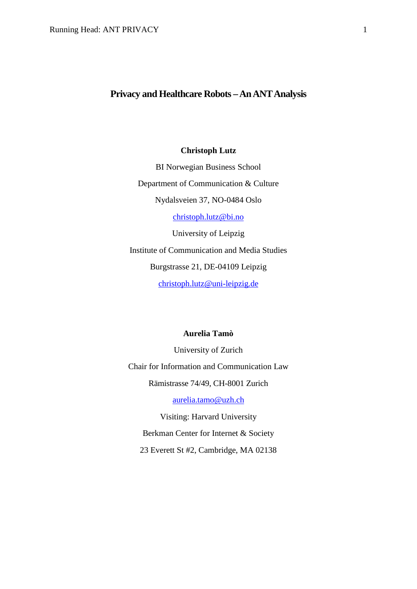# **Privacy and Healthcare Robots –An ANT Analysis**

# **Christoph Lutz**

BI Norwegian Business School Department of Communication & Culture Nydalsveien 37, NO-0484 Oslo [christoph.lutz@bi.no](mailto:christoph.lutz@bi.no) University of Leipzig Institute of Communication and Media Studies Burgstrasse 21, DE-04109 Leipzig [christoph.lutz@uni-leipzig.de](mailto:christoph.lutz@uni-leipzig.de)

# **Aurelia Tamò**

University of Zurich Chair for Information and Communication Law Rämistrasse 74/49, CH-8001 Zurich

[aurelia.tamo@uzh.ch](mailto:aurelia.tamo@uzh.ch)

Visiting: Harvard University Berkman Center for Internet & Society 23 Everett St #2, Cambridge, MA 02138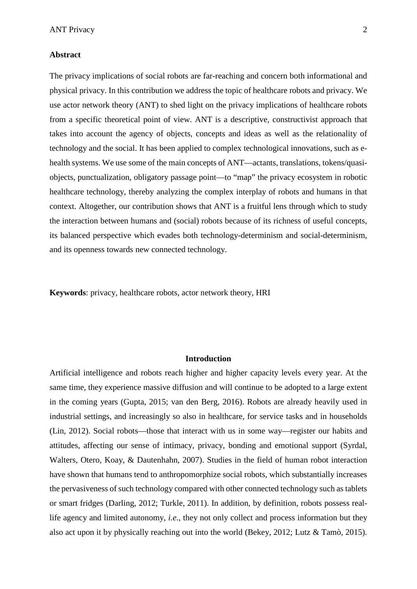#### **Abstract**

The privacy implications of social robots are far-reaching and concern both informational and physical privacy. In this contribution we address the topic of healthcare robots and privacy. We use actor network theory (ANT) to shed light on the privacy implications of healthcare robots from a specific theoretical point of view. ANT is a descriptive, constructivist approach that takes into account the agency of objects, concepts and ideas as well as the relationality of technology and the social. It has been applied to complex technological innovations, such as ehealth systems. We use some of the main concepts of ANT—actants, translations, tokens/quasiobjects, punctualization, obligatory passage point—to "map" the privacy ecosystem in robotic healthcare technology, thereby analyzing the complex interplay of robots and humans in that context. Altogether, our contribution shows that ANT is a fruitful lens through which to study the interaction between humans and (social) robots because of its richness of useful concepts, its balanced perspective which evades both technology-determinism and social-determinism, and its openness towards new connected technology.

**Keywords**: privacy, healthcare robots, actor network theory, HRI

# **Introduction**

Artificial intelligence and robots reach higher and higher capacity levels every year. At the same time, they experience massive diffusion and will continue to be adopted to a large extent in the coming years (Gupta, 2015; van den Berg, 2016). Robots are already heavily used in industrial settings, and increasingly so also in healthcare, for service tasks and in households (Lin, 2012). Social robots—those that interact with us in some way—register our habits and attitudes, affecting our sense of intimacy, privacy, bonding and emotional support (Syrdal, Walters, Otero, Koay, & Dautenhahn, 2007). Studies in the field of human robot interaction have shown that humans tend to anthropomorphize social robots, which substantially increases the pervasiveness of such technology compared with other connected technology such as tablets or smart fridges (Darling, 2012; Turkle, 2011). In addition, by definition, robots possess reallife agency and limited autonomy, *i.e*., they not only collect and process information but they also act upon it by physically reaching out into the world (Bekey, 2012; Lutz & Tamò, 2015).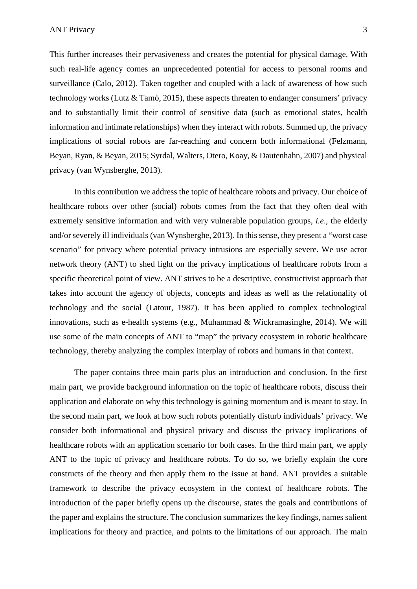This further increases their pervasiveness and creates the potential for physical damage. With such real-life agency comes an unprecedented potential for access to personal rooms and surveillance (Calo, 2012). Taken together and coupled with a lack of awareness of how such technology works (Lutz  $\&$  Tamò, 2015), these aspects threaten to endanger consumers' privacy and to substantially limit their control of sensitive data (such as emotional states, health information and intimate relationships) when they interact with robots. Summed up, the privacy implications of social robots are far-reaching and concern both informational (Felzmann, Beyan, Ryan, & Beyan, 2015; Syrdal, Walters, Otero, Koay, & Dautenhahn, 2007) and physical privacy (van Wynsberghe, 2013).

In this contribution we address the topic of healthcare robots and privacy. Our choice of healthcare robots over other (social) robots comes from the fact that they often deal with extremely sensitive information and with very vulnerable population groups, *i.e*., the elderly and/or severely ill individuals (van Wynsberghe, 2013). In this sense, they present a "worst case scenario" for privacy where potential privacy intrusions are especially severe. We use actor network theory (ANT) to shed light on the privacy implications of healthcare robots from a specific theoretical point of view. ANT strives to be a descriptive, constructivist approach that takes into account the agency of objects, concepts and ideas as well as the relationality of technology and the social (Latour, 1987). It has been applied to complex technological innovations, such as e-health systems (e.g., Muhammad & Wickramasinghe, 2014). We will use some of the main concepts of ANT to "map" the privacy ecosystem in robotic healthcare technology, thereby analyzing the complex interplay of robots and humans in that context.

The paper contains three main parts plus an introduction and conclusion. In the first main part, we provide background information on the topic of healthcare robots, discuss their application and elaborate on why this technology is gaining momentum and is meant to stay. In the second main part, we look at how such robots potentially disturb individuals' privacy. We consider both informational and physical privacy and discuss the privacy implications of healthcare robots with an application scenario for both cases. In the third main part, we apply ANT to the topic of privacy and healthcare robots. To do so, we briefly explain the core constructs of the theory and then apply them to the issue at hand. ANT provides a suitable framework to describe the privacy ecosystem in the context of healthcare robots. The introduction of the paper briefly opens up the discourse, states the goals and contributions of the paper and explains the structure. The conclusion summarizes the key findings, names salient implications for theory and practice, and points to the limitations of our approach. The main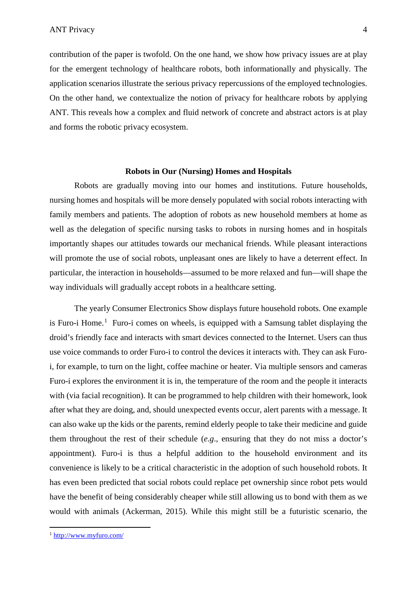contribution of the paper is twofold. On the one hand, we show how privacy issues are at play for the emergent technology of healthcare robots, both informationally and physically. The application scenarios illustrate the serious privacy repercussions of the employed technologies. On the other hand, we contextualize the notion of privacy for healthcare robots by applying ANT. This reveals how a complex and fluid network of concrete and abstract actors is at play and forms the robotic privacy ecosystem.

#### **Robots in Our (Nursing) Homes and Hospitals**

Robots are gradually moving into our homes and institutions. Future households, nursing homes and hospitals will be more densely populated with social robots interacting with family members and patients. The adoption of robots as new household members at home as well as the delegation of specific nursing tasks to robots in nursing homes and in hospitals importantly shapes our attitudes towards our mechanical friends. While pleasant interactions will promote the use of social robots, unpleasant ones are likely to have a deterrent effect. In particular, the interaction in households—assumed to be more relaxed and fun—will shape the way individuals will gradually accept robots in a healthcare setting.

The yearly Consumer Electronics Show displays future household robots. One example is Furo-i Home.<sup>[1](#page-3-0)</sup> Furo-i comes on wheels, is equipped with a Samsung tablet displaying the droid's friendly face and interacts with smart devices connected to the Internet. Users can thus use voice commands to order Furo-i to control the devices it interacts with. They can ask Furoi, for example, to turn on the light, coffee machine or heater. Via multiple sensors and cameras Furo-i explores the environment it is in, the temperature of the room and the people it interacts with (via facial recognition). It can be programmed to help children with their homework, look after what they are doing, and, should unexpected events occur, alert parents with a message. It can also wake up the kids or the parents, remind elderly people to take their medicine and guide them throughout the rest of their schedule (*e.g*., ensuring that they do not miss a doctor's appointment). Furo-i is thus a helpful addition to the household environment and its convenience is likely to be a critical characteristic in the adoption of such household robots. It has even been predicted that social robots could replace pet ownership since robot pets would have the benefit of being considerably cheaper while still allowing us to bond with them as we would with animals (Ackerman, 2015). While this might still be a futuristic scenario, the

 $\overline{a}$ 

<span id="page-3-0"></span><sup>1</sup> <http://www.myfuro.com/>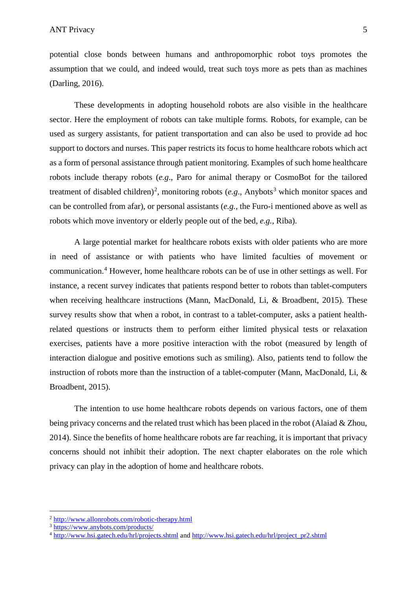potential close bonds between humans and anthropomorphic robot toys promotes the assumption that we could, and indeed would, treat such toys more as pets than as machines (Darling, 2016).

These developments in adopting household robots are also visible in the healthcare sector. Here the employment of robots can take multiple forms. Robots, for example, can be used as surgery assistants, for patient transportation and can also be used to provide ad hoc support to doctors and nurses. This paper restricts its focus to home healthcare robots which act as a form of personal assistance through patient monitoring. Examples of such home healthcare robots include therapy robots (*e.g*., Paro for animal therapy or CosmoBot for the tailored treatment of disabled children)<sup>[2](#page-4-0)</sup>, monitoring robots ( $e.g.,$  Anybots<sup>[3](#page-4-1)</sup> which monitor spaces and can be controlled from afar), or personal assistants (*e.g.,* the Furo-i mentioned above as well as robots which move inventory or elderly people out of the bed, *e.g.,* Riba).

A large potential market for healthcare robots exists with older patients who are more in need of assistance or with patients who have limited faculties of movement or communication. [4](#page-4-2) However, home healthcare robots can be of use in other settings as well. For instance, a recent survey indicates that patients respond better to robots than tablet-computers when receiving healthcare instructions (Mann, MacDonald, Li, & Broadbent, 2015). These survey results show that when a robot, in contrast to a tablet-computer, asks a patient healthrelated questions or instructs them to perform either limited physical tests or relaxation exercises, patients have a more positive interaction with the robot (measured by length of interaction dialogue and positive emotions such as smiling). Also, patients tend to follow the instruction of robots more than the instruction of a tablet-computer (Mann, MacDonald, Li, & Broadbent, 2015).

The intention to use home healthcare robots depends on various factors, one of them being privacy concerns and the related trust which has been placed in the robot (Alaiad & Zhou, 2014). Since the benefits of home healthcare robots are far reaching, it is important that privacy concerns should not inhibit their adoption. The next chapter elaborates on the role which privacy can play in the adoption of home and healthcare robots.

 $\overline{a}$ 

<sup>2</sup> <http://www.allonrobots.com/robotic-therapy.html>

<span id="page-4-1"></span><span id="page-4-0"></span><sup>3</sup> <https://www.anybots.com/products/>

<span id="page-4-2"></span><sup>&</sup>lt;sup>4</sup> <http://www.hsi.gatech.edu/hrl/projects.shtml> and [http://www.hsi.gatech.edu/hrl/project\\_pr2.shtml](http://www.hsi.gatech.edu/hrl/project_pr2.shtml)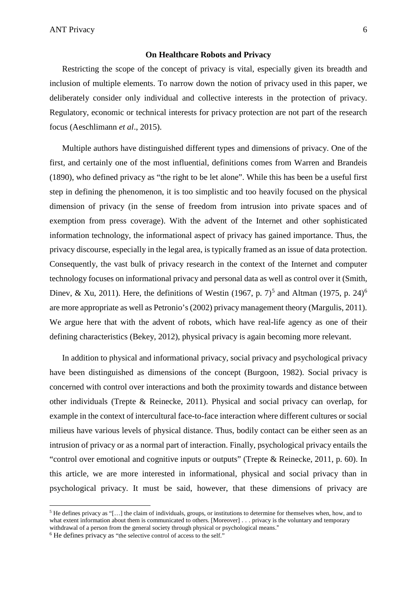ANT Privacy 6

#### **On Healthcare Robots and Privacy**

Restricting the scope of the concept of privacy is vital, especially given its breadth and inclusion of multiple elements. To narrow down the notion of privacy used in this paper, we deliberately consider only individual and collective interests in the protection of privacy. Regulatory, economic or technical interests for privacy protection are not part of the research focus (Aeschlimann *et al*., 2015).

Multiple authors have distinguished different types and dimensions of privacy. One of the first, and certainly one of the most influential, definitions comes from Warren and Brandeis (1890), who defined privacy as "the right to be let alone". While this has been be a useful first step in defining the phenomenon, it is too simplistic and too heavily focused on the physical dimension of privacy (in the sense of freedom from intrusion into private spaces and of exemption from press coverage). With the advent of the Internet and other sophisticated information technology, the informational aspect of privacy has gained importance. Thus, the privacy discourse, especially in the legal area, is typically framed as an issue of data protection. Consequently, the vast bulk of privacy research in the context of the Internet and computer technology focuses on informational privacy and personal data as well as control over it (Smith, Dinev, & Xu, 2011). Here, the definitions of Westin (1967, p. 7)<sup>[5](#page-5-0)</sup> and Altman (1975, p. 24)<sup>[6](#page-5-1)</sup> are more appropriate as well as Petronio's (2002) privacy management theory (Margulis, 2011). We argue here that with the advent of robots, which have real-life agency as one of their defining characteristics (Bekey, 2012), physical privacy is again becoming more relevant.

In addition to physical and informational privacy, social privacy and psychological privacy have been distinguished as dimensions of the concept (Burgoon, 1982). Social privacy is concerned with control over interactions and both the proximity towards and distance between other individuals (Trepte & Reinecke, 2011). Physical and social privacy can overlap, for example in the context of intercultural face-to-face interaction where different cultures or social milieus have various levels of physical distance. Thus, bodily contact can be either seen as an intrusion of privacy or as a normal part of interaction. Finally, psychological privacy entails the "control over emotional and cognitive inputs or outputs" (Trepte & Reinecke, 2011, p. 60). In this article, we are more interested in informational, physical and social privacy than in psychological privacy. It must be said, however, that these dimensions of privacy are

 $\overline{a}$ 

<span id="page-5-0"></span><sup>5</sup> He defines privacy as "[…] the claim of individuals, groups, or institutions to determine for themselves when, how, and to what extent information about them is communicated to others. [Moreover] . . . privacy is the voluntary and temporary withdrawal of a person from the general society through physical or psychological means."

<span id="page-5-1"></span><sup>&</sup>lt;sup>6</sup> He defines privacy as "the selective control of access to the self."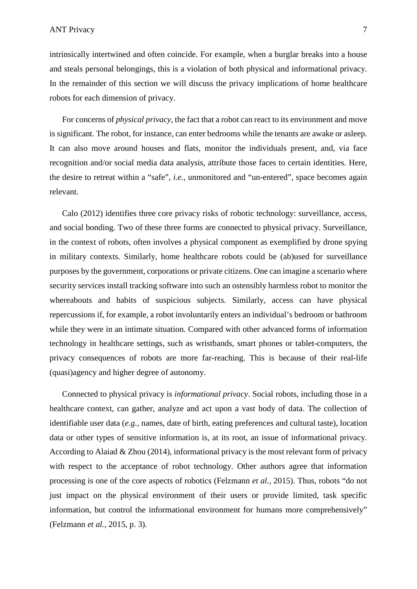intrinsically intertwined and often coincide. For example, when a burglar breaks into a house and steals personal belongings, this is a violation of both physical and informational privacy. In the remainder of this section we will discuss the privacy implications of home healthcare robots for each dimension of privacy.

For concerns of *physical privacy*, the fact that a robot can react to its environment and move is significant. The robot, for instance, can enter bedrooms while the tenants are awake or asleep. It can also move around houses and flats, monitor the individuals present, and, via face recognition and/or social media data analysis, attribute those faces to certain identities. Here, the desire to retreat within a "safe", *i.e.,* unmonitored and "un-entered", space becomes again relevant.

Calo (2012) identifies three core privacy risks of robotic technology: surveillance, access, and social bonding. Two of these three forms are connected to physical privacy. Surveillance, in the context of robots, often involves a physical component as exemplified by drone spying in military contexts. Similarly, home healthcare robots could be (ab)used for surveillance purposes by the government, corporations or private citizens. One can imagine a scenario where security services install tracking software into such an ostensibly harmless robot to monitor the whereabouts and habits of suspicious subjects. Similarly, access can have physical repercussions if, for example, a robot involuntarily enters an individual's bedroom or bathroom while they were in an intimate situation. Compared with other advanced forms of information technology in healthcare settings, such as wristbands, smart phones or tablet-computers, the privacy consequences of robots are more far-reaching. This is because of their real-life (quasi)agency and higher degree of autonomy.

Connected to physical privacy is *informational privacy*. Social robots, including those in a healthcare context, can gather, analyze and act upon a vast body of data. The collection of identifiable user data (*e.g.,* names, date of birth, eating preferences and cultural taste), location data or other types of sensitive information is, at its root, an issue of informational privacy. According to Alaiad & Zhou (2014), informational privacy is the most relevant form of privacy with respect to the acceptance of robot technology. Other authors agree that information processing is one of the core aspects of robotics (Felzmann *et al.,* 2015). Thus, robots "do not just impact on the physical environment of their users or provide limited, task specific information, but control the informational environment for humans more comprehensively" (Felzmann *et al.,* 2015, p. 3).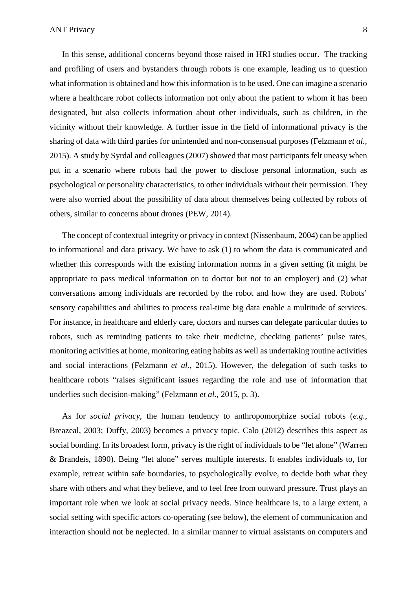In this sense, additional concerns beyond those raised in HRI studies occur. The tracking and profiling of users and bystanders through robots is one example, leading us to question what information is obtained and how this information is to be used. One can imagine a scenario where a healthcare robot collects information not only about the patient to whom it has been designated, but also collects information about other individuals, such as children, in the vicinity without their knowledge. A further issue in the field of informational privacy is the sharing of data with third parties for unintended and non-consensual purposes (Felzmann *et al.,* 2015). A study by Syrdal and colleagues (2007) showed that most participants felt uneasy when put in a scenario where robots had the power to disclose personal information, such as psychological or personality characteristics, to other individuals without their permission. They were also worried about the possibility of data about themselves being collected by robots of others, similar to concerns about drones (PEW, 2014).

The concept of contextual integrity or privacy in context (Nissenbaum, 2004) can be applied to informational and data privacy. We have to ask (1) to whom the data is communicated and whether this corresponds with the existing information norms in a given setting (it might be appropriate to pass medical information on to doctor but not to an employer) and (2) what conversations among individuals are recorded by the robot and how they are used. Robots' sensory capabilities and abilities to process real-time big data enable a multitude of services. For instance, in healthcare and elderly care, doctors and nurses can delegate particular duties to robots, such as reminding patients to take their medicine, checking patients' pulse rates, monitoring activities at home, monitoring eating habits as well as undertaking routine activities and social interactions (Felzmann *et al.,* 2015). However, the delegation of such tasks to healthcare robots "raises significant issues regarding the role and use of information that underlies such decision-making" (Felzmann *et al.,* 2015, p. 3).

As for *social privacy*, the human tendency to anthropomorphize social robots (*e.g.,* Breazeal, 2003; Duffy, 2003) becomes a privacy topic. Calo (2012) describes this aspect as social bonding. In its broadest form, privacy is the right of individuals to be "let alone" (Warren & Brandeis, 1890). Being "let alone" serves multiple interests. It enables individuals to, for example, retreat within safe boundaries, to psychologically evolve, to decide both what they share with others and what they believe, and to feel free from outward pressure. Trust plays an important role when we look at social privacy needs. Since healthcare is, to a large extent, a social setting with specific actors co-operating (see below), the element of communication and interaction should not be neglected. In a similar manner to virtual assistants on computers and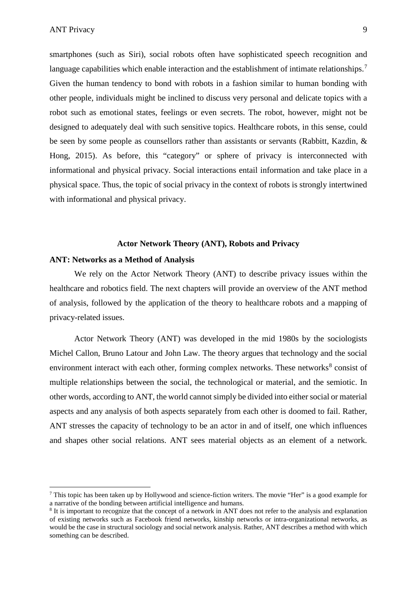$\overline{a}$ 

smartphones (such as Siri), social robots often have sophisticated speech recognition and language capabilities which enable interaction and the establishment of intimate relationships.<sup>[7](#page-8-0)</sup> Given the human tendency to bond with robots in a fashion similar to human bonding with other people, individuals might be inclined to discuss very personal and delicate topics with a robot such as emotional states, feelings or even secrets. The robot, however, might not be designed to adequately deal with such sensitive topics. Healthcare robots, in this sense, could be seen by some people as counsellors rather than assistants or servants (Rabbitt, Kazdin, & Hong, 2015). As before, this "category" or sphere of privacy is interconnected with informational and physical privacy. Social interactions entail information and take place in a physical space. Thus, the topic of social privacy in the context of robots is strongly intertwined with informational and physical privacy.

#### **Actor Network Theory (ANT), Robots and Privacy**

## **ANT: Networks as a Method of Analysis**

We rely on the Actor Network Theory (ANT) to describe privacy issues within the healthcare and robotics field. The next chapters will provide an overview of the ANT method of analysis, followed by the application of the theory to healthcare robots and a mapping of privacy-related issues.

Actor Network Theory (ANT) was developed in the mid 1980s by the sociologists Michel Callon, Bruno Latour and John Law. The theory argues that technology and the social environment interact with each other, forming complex networks. These networks $8$  consist of multiple relationships between the social, the technological or material, and the semiotic. In other words, according to ANT, the world cannot simply be divided into either social or material aspects and any analysis of both aspects separately from each other is doomed to fail. Rather, ANT stresses the capacity of technology to be an actor in and of itself, one which influences and shapes other social relations. ANT sees material objects as an element of a network.

<span id="page-8-0"></span><sup>7</sup> This topic has been taken up by Hollywood and science-fiction writers. The movie "Her" is a good example for a narrative of the bonding between artificial intelligence and humans.

<span id="page-8-1"></span><sup>8</sup> It is important to recognize that the concept of a network in ANT does not refer to the analysis and explanation of existing networks such as Facebook friend networks, kinship networks or intra-organizational networks, as would be the case in structural sociology and social network analysis. Rather, ANT describes a method with which something can be described.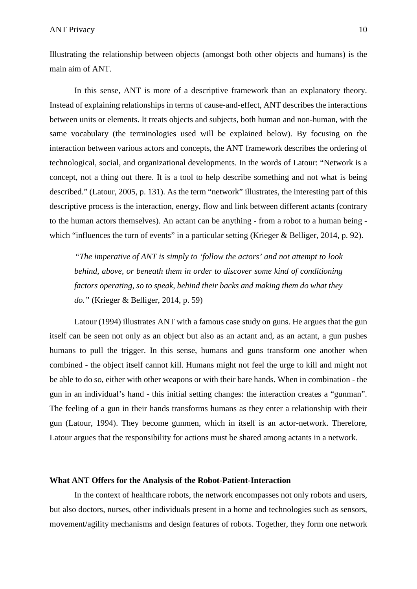Illustrating the relationship between objects (amongst both other objects and humans) is the main aim of ANT.

In this sense, ANT is more of a descriptive framework than an explanatory theory. Instead of explaining relationships in terms of cause-and-effect, ANT describes the interactions between units or elements. It treats objects and subjects, both human and non-human, with the same vocabulary (the terminologies used will be explained below). By focusing on the interaction between various actors and concepts, the ANT framework describes the ordering of technological, social, and organizational developments. In the words of Latour: "Network is a concept, not a thing out there. It is a tool to help describe something and not what is being described." (Latour, 2005, p. 131). As the term "network" illustrates, the interesting part of this descriptive process is the interaction, energy, flow and link between different actants (contrary to the human actors themselves). An actant can be anything - from a robot to a human being which "influences the turn of events" in a particular setting (Krieger & Belliger, 2014, p. 92).

*"The imperative of ANT is simply to 'follow the actors' and not attempt to look behind, above, or beneath them in order to discover some kind of conditioning factors operating, so to speak, behind their backs and making them do what they do."* (Krieger & Belliger, 2014, p. 59)

Latour (1994) illustrates ANT with a famous case study on guns. He argues that the gun itself can be seen not only as an object but also as an actant and, as an actant, a gun pushes humans to pull the trigger. In this sense, humans and guns transform one another when combined - the object itself cannot kill. Humans might not feel the urge to kill and might not be able to do so, either with other weapons or with their bare hands. When in combination - the gun in an individual's hand - this initial setting changes: the interaction creates a "gunman". The feeling of a gun in their hands transforms humans as they enter a relationship with their gun (Latour, 1994). They become gunmen, which in itself is an actor-network. Therefore, Latour argues that the responsibility for actions must be shared among actants in a network.

#### **What ANT Offers for the Analysis of the Robot-Patient-Interaction**

In the context of healthcare robots, the network encompasses not only robots and users, but also doctors, nurses, other individuals present in a home and technologies such as sensors, movement/agility mechanisms and design features of robots. Together, they form one network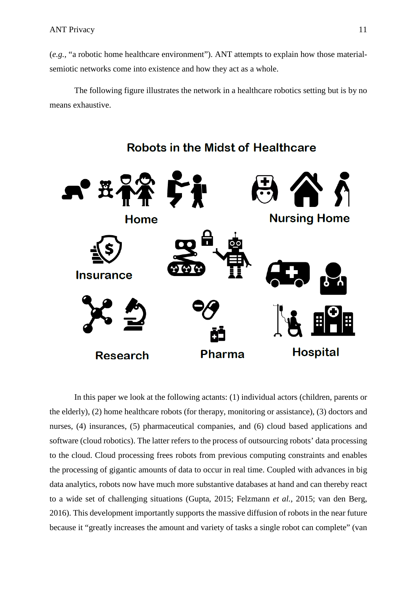(*e.g.,* "a robotic home healthcare environment"). ANT attempts to explain how those materialsemiotic networks come into existence and how they act as a whole.

The following figure illustrates the network in a healthcare robotics setting but is by no means exhaustive.



# **Robots in the Midst of Healthcare**

In this paper we look at the following actants: (1) individual actors (children, parents or the elderly), (2) home healthcare robots (for therapy, monitoring or assistance), (3) doctors and nurses, (4) insurances, (5) pharmaceutical companies, and (6) cloud based applications and software (cloud robotics). The latter refers to the process of outsourcing robots' data processing to the cloud. Cloud processing frees robots from previous computing constraints and enables the processing of gigantic amounts of data to occur in real time. Coupled with advances in big data analytics, robots now have much more substantive databases at hand and can thereby react to a wide set of challenging situations (Gupta, 2015; Felzmann *et al.*, 2015; van den Berg, 2016). This development importantly supports the massive diffusion of robots in the near future because it "greatly increases the amount and variety of tasks a single robot can complete" (van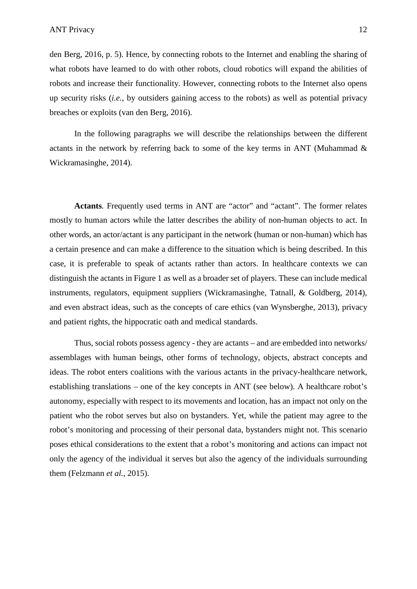den Berg, 2016, p. 5). Hence, by connecting robots to the Internet and enabling the sharing of what robots have learned to do with other robots, cloud robotics will expand the abilities of robots and increase their functionality. However, connecting robots to the Internet also opens up security risks (*i.e.,* by outsiders gaining access to the robots) as well as potential privacy breaches or exploits (van den Berg, 2016).

In the following paragraphs we will describe the relationships between the different actants in the network by referring back to some of the key terms in ANT (Muhammad & Wickramasinghe, 2014).

**Actants***.* Frequently used terms in ANT are "actor" and "actant". The former relates mostly to human actors while the latter describes the ability of non-human objects to act. In other words, an actor/actant is any participant in the network (human or non-human) which has a certain presence and can make a difference to the situation which is being described. In this case, it is preferable to speak of actants rather than actors. In healthcare contexts we can distinguish the actants in Figure 1 as well as a broader set of players. These can include medical instruments, regulators, equipment suppliers (Wickramasinghe, Tatnall, & Goldberg, 2014), and even abstract ideas, such as the concepts of care ethics (van Wynsberghe, 2013), privacy and patient rights, the hippocratic oath and medical standards.

Thus, social robots possess agency - they are actants – and are embedded into networks/ assemblages with human beings, other forms of technology, objects, abstract concepts and ideas. The robot enters coalitions with the various actants in the privacy-healthcare network, establishing translations – one of the key concepts in ANT (see below). A healthcare robot's autonomy, especially with respect to its movements and location, has an impact not only on the patient who the robot serves but also on bystanders. Yet, while the patient may agree to the robot's monitoring and processing of their personal data, bystanders might not. This scenario poses ethical considerations to the extent that a robot's monitoring and actions can impact not only the agency of the individual it serves but also the agency of the individuals surrounding them (Felzmann *et al.*, 2015).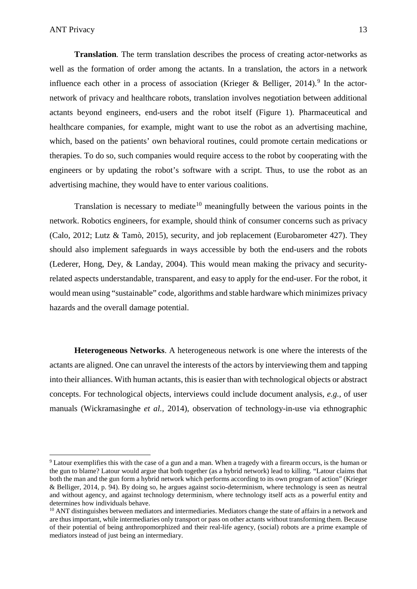$\overline{a}$ 

**Translation***.* The term translation describes the process of creating actor-networks as well as the formation of order among the actants. In a translation, the actors in a network influence each other in a process of association (Krieger & Belliger, 2014).<sup>[9](#page-12-0)</sup> In the actornetwork of privacy and healthcare robots, translation involves negotiation between additional actants beyond engineers, end-users and the robot itself (Figure 1). Pharmaceutical and healthcare companies, for example, might want to use the robot as an advertising machine, which, based on the patients' own behavioral routines, could promote certain medications or therapies. To do so, such companies would require access to the robot by cooperating with the engineers or by updating the robot's software with a script. Thus, to use the robot as an advertising machine, they would have to enter various coalitions.

Translation is necessary to mediate<sup>[10](#page-12-1)</sup> meaningfully between the various points in the network. Robotics engineers, for example, should think of consumer concerns such as privacy (Calo, 2012; Lutz & Tamò, 2015), security, and job replacement (Eurobarometer 427). They should also implement safeguards in ways accessible by both the end-users and the robots (Lederer, Hong, Dey, & Landay, 2004). This would mean making the privacy and securityrelated aspects understandable, transparent, and easy to apply for the end-user. For the robot, it would mean using "sustainable" code, algorithms and stable hardware which minimizes privacy hazards and the overall damage potential.

**Heterogeneous Networks**. A heterogeneous network is one where the interests of the actants are aligned. One can unravel the interests of the actors by interviewing them and tapping into their alliances. With human actants, this is easier than with technological objects or abstract concepts. For technological objects, interviews could include document analysis, *e.g.,* of user manuals (Wickramasinghe *et al.,* 2014), observation of technology-in-use via ethnographic

<span id="page-12-0"></span><sup>&</sup>lt;sup>9</sup> Latour exemplifies this with the case of a gun and a man. When a tragedy with a firearm occurs, is the human or the gun to blame? Latour would argue that both together (as a hybrid network) lead to killing. "Latour claims that both the man and the gun form a hybrid network which performs according to its own program of action" (Krieger & Belliger, 2014, p. 94). By doing so, he argues against socio-determinism, where technology is seen as neutral and without agency, and against technology determinism, where technology itself acts as a powerful entity and determines how individuals behave.

<span id="page-12-1"></span> $10$  ANT distinguishes between mediators and intermediaries. Mediators change the state of affairs in a network and are thus important, while intermediaries only transport or pass on other actants without transforming them. Because of their potential of being anthropomorphized and their real-life agency, (social) robots are a prime example of mediators instead of just being an intermediary.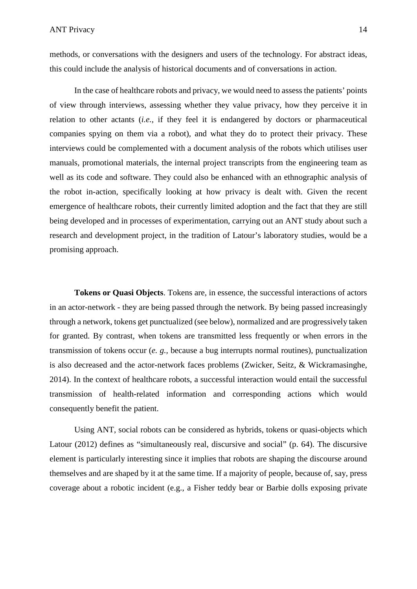methods, or conversations with the designers and users of the technology. For abstract ideas, this could include the analysis of historical documents and of conversations in action.

In the case of healthcare robots and privacy, we would need to assess the patients' points of view through interviews, assessing whether they value privacy, how they perceive it in relation to other actants (*i.e.,* if they feel it is endangered by doctors or pharmaceutical companies spying on them via a robot), and what they do to protect their privacy. These interviews could be complemented with a document analysis of the robots which utilises user manuals, promotional materials, the internal project transcripts from the engineering team as well as its code and software. They could also be enhanced with an ethnographic analysis of the robot in-action, specifically looking at how privacy is dealt with. Given the recent emergence of healthcare robots, their currently limited adoption and the fact that they are still being developed and in processes of experimentation, carrying out an ANT study about such a research and development project, in the tradition of Latour's laboratory studies, would be a promising approach.

**Tokens or Quasi Objects**. Tokens are, in essence, the successful interactions of actors in an actor-network - they are being passed through the network. By being passed increasingly through a network, tokens get punctualized (see below), normalized and are progressively taken for granted. By contrast, when tokens are transmitted less frequently or when errors in the transmission of tokens occur (*e. g.,* because a bug interrupts normal routines), punctualization is also decreased and the actor-network faces problems (Zwicker, Seitz, & Wickramasinghe, 2014). In the context of healthcare robots, a successful interaction would entail the successful transmission of health-related information and corresponding actions which would consequently benefit the patient.

Using ANT, social robots can be considered as hybrids, tokens or quasi-objects which Latour (2012) defines as "simultaneously real, discursive and social" (p. 64). The discursive element is particularly interesting since it implies that robots are shaping the discourse around themselves and are shaped by it at the same time. If a majority of people, because of, say, press coverage about a robotic incident (e.g., a Fisher teddy bear or Barbie dolls exposing private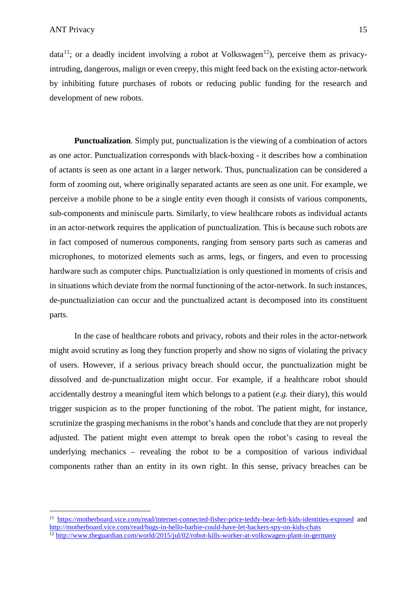$\overline{a}$ 

data<sup>[11](#page-14-0)</sup>; or a deadly incident involving a robot at Volkswagen<sup>[12](#page-14-1)</sup>), perceive them as privacyintruding, dangerous, malign or even creepy, this might feed back on the existing actor-network by inhibiting future purchases of robots or reducing public funding for the research and development of new robots.

**Punctualization**. Simply put, punctualization is the viewing of a combination of actors as one actor. Punctualization corresponds with black-boxing - it describes how a combination of actants is seen as one actant in a larger network. Thus, punctualization can be considered a form of zooming out, where originally separated actants are seen as one unit. For example, we perceive a mobile phone to be a single entity even though it consists of various components, sub-components and miniscule parts. Similarly, to view healthcare robots as individual actants in an actor-network requires the application of punctualization. This is because such robots are in fact composed of numerous components, ranging from sensory parts such as cameras and microphones, to motorized elements such as arms, legs, or fingers, and even to processing hardware such as computer chips. Punctualiziation is only questioned in moments of crisis and in situations which deviate from the normal functioning of the actor-network. In such instances, de-punctualiziation can occur and the punctualized actant is decomposed into its constituent parts.

In the case of healthcare robots and privacy, robots and their roles in the actor-network might avoid scrutiny as long they function properly and show no signs of violating the privacy of users. However, if a serious privacy breach should occur, the punctualization might be dissolved and de-punctualization might occur. For example, if a healthcare robot should accidentally destroy a meaningful item which belongs to a patient (*e.g.* their diary), this would trigger suspicion as to the proper functioning of the robot. The patient might, for instance, scrutinize the grasping mechanisms in the robot's hands and conclude that they are not properly adjusted. The patient might even attempt to break open the robot's casing to reveal the underlying mechanics – revealing the robot to be a composition of various individual components rather than an entity in its own right. In this sense, privacy breaches can be

<span id="page-14-0"></span><sup>11</sup> <https://motherboard.vice.com/read/internet-connected-fisher-price-teddy-bear-left-kids-identities-exposed> and <http://motherboard.vice.com/read/bugs-in-hello-barbie-could-have-let-hackers-spy-on-kids-chats>

<span id="page-14-1"></span><sup>12</sup> <http://www.theguardian.com/world/2015/jul/02/robot-kills-worker-at-volkswagen-plant-in-germany>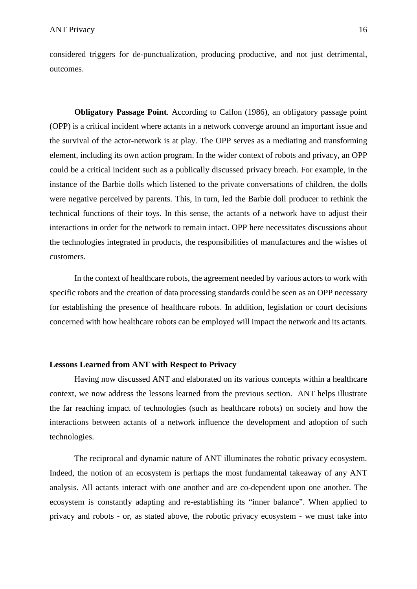considered triggers for de-punctualization, producing productive, and not just detrimental, outcomes.

**Obligatory Passage Point**. According to Callon (1986), an obligatory passage point (OPP) is a critical incident where actants in a network converge around an important issue and the survival of the actor-network is at play. The OPP serves as a mediating and transforming element, including its own action program. In the wider context of robots and privacy, an OPP could be a critical incident such as a publically discussed privacy breach. For example, in the instance of the Barbie dolls which listened to the private conversations of children, the dolls were negative perceived by parents. This, in turn, led the Barbie doll producer to rethink the technical functions of their toys. In this sense, the actants of a network have to adjust their interactions in order for the network to remain intact. OPP here necessitates discussions about the technologies integrated in products, the responsibilities of manufactures and the wishes of customers.

In the context of healthcare robots, the agreement needed by various actors to work with specific robots and the creation of data processing standards could be seen as an OPP necessary for establishing the presence of healthcare robots. In addition, legislation or court decisions concerned with how healthcare robots can be employed will impact the network and its actants.

## **Lessons Learned from ANT with Respect to Privacy**

Having now discussed ANT and elaborated on its various concepts within a healthcare context, we now address the lessons learned from the previous section. ANT helps illustrate the far reaching impact of technologies (such as healthcare robots) on society and how the interactions between actants of a network influence the development and adoption of such technologies.

The reciprocal and dynamic nature of ANT illuminates the robotic privacy ecosystem. Indeed, the notion of an ecosystem is perhaps the most fundamental takeaway of any ANT analysis. All actants interact with one another and are co-dependent upon one another. The ecosystem is constantly adapting and re-establishing its "inner balance". When applied to privacy and robots - or, as stated above, the robotic privacy ecosystem - we must take into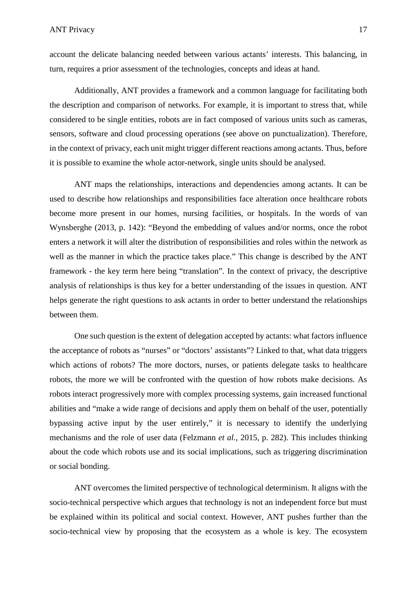account the delicate balancing needed between various actants' interests. This balancing, in turn, requires a prior assessment of the technologies, concepts and ideas at hand.

Additionally, ANT provides a framework and a common language for facilitating both the description and comparison of networks. For example, it is important to stress that, while considered to be single entities, robots are in fact composed of various units such as cameras, sensors, software and cloud processing operations (see above on punctualization). Therefore, in the context of privacy, each unit might trigger different reactions among actants. Thus, before it is possible to examine the whole actor-network, single units should be analysed.

ANT maps the relationships, interactions and dependencies among actants. It can be used to describe how relationships and responsibilities face alteration once healthcare robots become more present in our homes, nursing facilities, or hospitals. In the words of van Wynsberghe (2013, p. 142): "Beyond the embedding of values and/or norms, once the robot enters a network it will alter the distribution of responsibilities and roles within the network as well as the manner in which the practice takes place." This change is described by the ANT framework - the key term here being "translation". In the context of privacy, the descriptive analysis of relationships is thus key for a better understanding of the issues in question. ANT helps generate the right questions to ask actants in order to better understand the relationships between them.

One such question is the extent of delegation accepted by actants: what factors influence the acceptance of robots as "nurses" or "doctors' assistants"? Linked to that, what data triggers which actions of robots? The more doctors, nurses, or patients delegate tasks to healthcare robots, the more we will be confronted with the question of how robots make decisions. As robots interact progressively more with complex processing systems, gain increased functional abilities and "make a wide range of decisions and apply them on behalf of the user, potentially bypassing active input by the user entirely," it is necessary to identify the underlying mechanisms and the role of user data (Felzmann *et al.*, 2015, p. 282). This includes thinking about the code which robots use and its social implications, such as triggering discrimination or social bonding.

ANT overcomes the limited perspective of technological determinism. It aligns with the socio-technical perspective which argues that technology is not an independent force but must be explained within its political and social context. However, ANT pushes further than the socio-technical view by proposing that the ecosystem as a whole is key. The ecosystem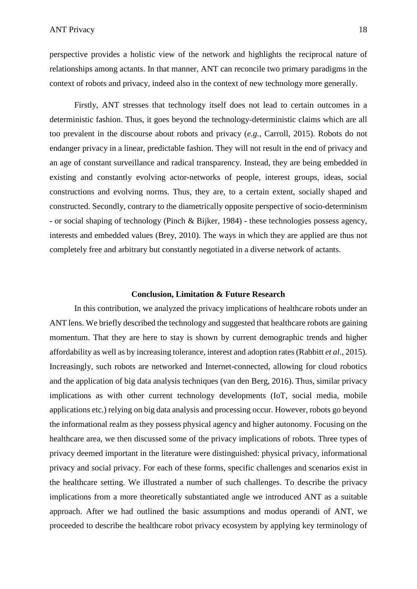perspective provides a holistic view of the network and highlights the reciprocal nature of relationships among actants. In that manner, ANT can reconcile two primary paradigms in the context of robots and privacy, indeed also in the context of new technology more generally.

Firstly, ANT stresses that technology itself does not lead to certain outcomes in a deterministic fashion. Thus, it goes beyond the technology-deterministic claims which are all too prevalent in the discourse about robots and privacy (*e.g.,* Carroll, 2015). Robots do not endanger privacy in a linear, predictable fashion. They will not result in the end of privacy and an age of constant surveillance and radical transparency. Instead, they are being embedded in existing and constantly evolving actor-networks of people, interest groups, ideas, social constructions and evolving norms. Thus, they are, to a certain extent, socially shaped and constructed. Secondly, contrary to the diametrically opposite perspective of socio-determinism - or social shaping of technology (Pinch & Bijker, 1984) - these technologies possess agency, interests and embedded values (Brey, 2010). The ways in which they are applied are thus not completely free and arbitrary but constantly negotiated in a diverse network of actants.

#### **Conclusion, Limitation & Future Research**

In this contribution, we analyzed the privacy implications of healthcare robots under an ANT lens. We briefly described the technology and suggested that healthcare robots are gaining momentum. That they are here to stay is shown by current demographic trends and higher affordability as well as by increasing tolerance, interest and adoption rates (Rabbitt *et al*., 2015). Increasingly, such robots are networked and Internet-connected, allowing for cloud robotics and the application of big data analysis techniques (van den Berg, 2016). Thus, similar privacy implications as with other current technology developments (IoT, social media, mobile applications etc.) relying on big data analysis and processing occur. However, robots go beyond the informational realm as they possess physical agency and higher autonomy. Focusing on the healthcare area, we then discussed some of the privacy implications of robots. Three types of privacy deemed important in the literature were distinguished: physical privacy, informational privacy and social privacy. For each of these forms, specific challenges and scenarios exist in the healthcare setting. We illustrated a number of such challenges. To describe the privacy implications from a more theoretically substantiated angle we introduced ANT as a suitable approach. After we had outlined the basic assumptions and modus operandi of ANT, we proceeded to describe the healthcare robot privacy ecosystem by applying key terminology of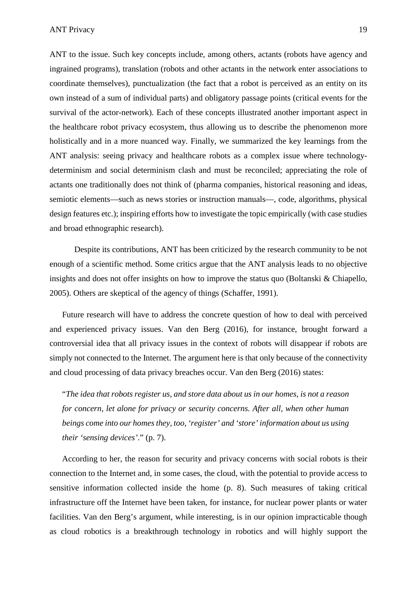ANT to the issue. Such key concepts include, among others, actants (robots have agency and ingrained programs), translation (robots and other actants in the network enter associations to coordinate themselves), punctualization (the fact that a robot is perceived as an entity on its own instead of a sum of individual parts) and obligatory passage points (critical events for the survival of the actor-network). Each of these concepts illustrated another important aspect in the healthcare robot privacy ecosystem, thus allowing us to describe the phenomenon more holistically and in a more nuanced way. Finally, we summarized the key learnings from the ANT analysis: seeing privacy and healthcare robots as a complex issue where technologydeterminism and social determinism clash and must be reconciled; appreciating the role of actants one traditionally does not think of (pharma companies, historical reasoning and ideas, semiotic elements—such as news stories or instruction manuals—, code, algorithms, physical design features etc.); inspiring efforts how to investigate the topic empirically (with case studies and broad ethnographic research).

Despite its contributions, ANT has been criticized by the research community to be not enough of a scientific method. Some critics argue that the ANT analysis leads to no objective insights and does not offer insights on how to improve the status quo (Boltanski & Chiapello, 2005). Others are skeptical of the agency of things (Schaffer, 1991).

Future research will have to address the concrete question of how to deal with perceived and experienced privacy issues. Van den Berg (2016), for instance, brought forward a controversial idea that all privacy issues in the context of robots will disappear if robots are simply not connected to the Internet. The argument here is that only because of the connectivity and cloud processing of data privacy breaches occur. Van den Berg (2016) states:

"*The idea that robots register us, and store data about us in our homes, is not a reason for concern, let alone for privacy or security concerns. After all, when other human beings come into our homes they, too, 'register' and 'store' information about us using their 'sensing devices'*." (p. 7).

According to her, the reason for security and privacy concerns with social robots is their connection to the Internet and, in some cases, the cloud, with the potential to provide access to sensitive information collected inside the home (p. 8). Such measures of taking critical infrastructure off the Internet have been taken, for instance, for nuclear power plants or water facilities. Van den Berg's argument, while interesting, is in our opinion impracticable though as cloud robotics is a breakthrough technology in robotics and will highly support the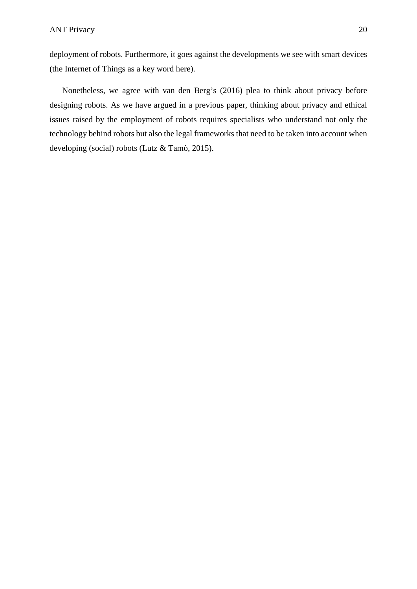deployment of robots. Furthermore, it goes against the developments we see with smart devices (the Internet of Things as a key word here).

Nonetheless, we agree with van den Berg's (2016) plea to think about privacy before designing robots. As we have argued in a previous paper, thinking about privacy and ethical issues raised by the employment of robots requires specialists who understand not only the technology behind robots but also the legal frameworks that need to be taken into account when developing (social) robots (Lutz & Tamò, 2015).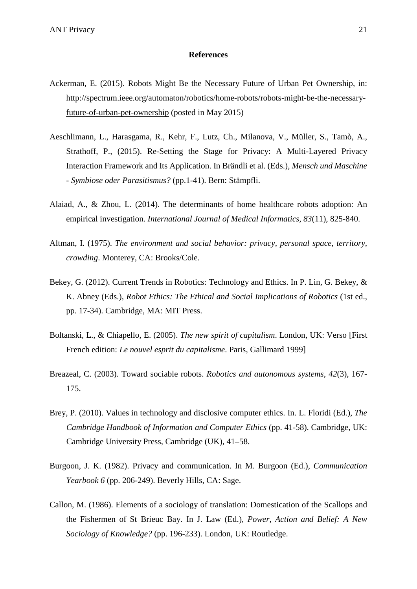#### **References**

- Ackerman, E. (2015). Robots Might Be the Necessary Future of Urban Pet Ownership, in: [http://spectrum.ieee.org/automaton/robotics/home-robots/robots-might-be-the-necessary](http://spectrum.ieee.org/automaton/robotics/home-robots/robots-might-be-the-necessary-future-of-urban-pet-ownership)[future-of-urban-pet-ownership](http://spectrum.ieee.org/automaton/robotics/home-robots/robots-might-be-the-necessary-future-of-urban-pet-ownership) (posted in May 2015)
- Aeschlimann, L., Harasgama, R., Kehr, F., Lutz, Ch., Milanova, V., Müller, S., Tamò, A., Strathoff, P., (2015). Re-Setting the Stage for Privacy: A Multi-Layered Privacy Interaction Framework and Its Application. In Brändli et al. (Eds.), *Mensch und Maschine - Symbiose oder Parasitismus?* (pp.1-41). Bern: Stämpfli.
- Alaiad, A., & Zhou, L. (2014). The determinants of home healthcare robots adoption: An empirical investigation. *International Journal of Medical Informatics, 83*(11), 825-840.
- Altman, I. (1975). *The environment and social behavior: privacy, personal space, territory, crowding*. Monterey, CA: Brooks/Cole.
- Bekey, G. (2012). Current Trends in Robotics: Technology and Ethics. In P. Lin, G. Bekey, & K. Abney (Eds.), *Robot Ethics: The Ethical and Social Implications of Robotics* (1st ed., pp. 17-34). Cambridge, MA: MIT Press.
- Boltanski, L., & Chiapello, E. (2005). *The new spirit of capitalism*. London, UK: Verso [First French edition: *Le nouvel esprit du capitalisme*. Paris, Gallimard 1999]
- Breazeal, C. (2003). Toward sociable robots. *Robotics and autonomous systems, 42*(3), 167- 175.
- Brey, P. (2010). Values in technology and disclosive computer ethics. In. L. Floridi (Ed.), *The Cambridge Handbook of Information and Computer Ethics* (pp. 41-58). Cambridge, UK: Cambridge University Press, Cambridge (UK), 41–58.
- Burgoon, J. K. (1982). Privacy and communication. In M. Burgoon (Ed.), *Communication Yearbook 6* (pp. 206-249). Beverly Hills, CA: Sage.
- Callon, M. (1986). Elements of a sociology of translation: Domestication of the Scallops and the Fishermen of St Brieuc Bay. In J. Law (Ed.), *Power, Action and Belief: A New Sociology of Knowledge?* (pp. 196-233). London, UK: Routledge.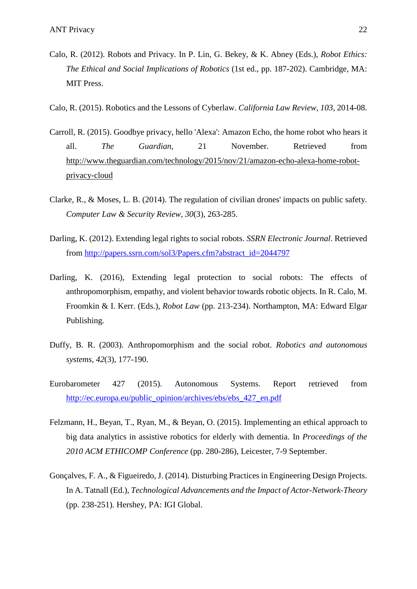- Calo, R. (2012). Robots and Privacy. In P. Lin, G. Bekey, & K. Abney (Eds.), *Robot Ethics: The Ethical and Social Implications of Robotics* (1st ed., pp. 187-202). Cambridge, MA: MIT Press.
- Calo, R. (2015). Robotics and the Lessons of Cyberlaw. *California Law Review, 103*, 2014-08.
- Carroll, R. (2015). Goodbye privacy, hello 'Alexa': Amazon Echo, the home robot who hears it all. *The Guardian*, 21 November. Retrieved from [http://www.theguardian.com/technology/2015/nov/21/amazon-echo-alexa-home-robot](http://www.theguardian.com/technology/2015/nov/21/amazon-echo-alexa-home-robot-privacy-cloud)[privacy-cloud](http://www.theguardian.com/technology/2015/nov/21/amazon-echo-alexa-home-robot-privacy-cloud)
- Clarke, R., & Moses, L. B. (2014). The regulation of civilian drones' impacts on public safety. *Computer Law & Security Review, 30*(3), 263-285.
- Darling, K. (2012). Extending legal rights to social robots. *SSRN Electronic Journal*. Retrieved from [http://papers.ssrn.com/sol3/Papers.cfm?abstract\\_id=2044797](http://papers.ssrn.com/sol3/Papers.cfm?abstract_id=2044797)
- Darling, K. (2016), Extending legal protection to social robots: The effects of anthropomorphism, empathy, and violent behavior towards robotic objects. In R. Calo, M. Froomkin & I. Kerr. (Eds.), *Robot Law* (pp. 213-234). Northampton, MA: Edward Elgar Publishing.
- Duffy, B. R. (2003). Anthropomorphism and the social robot. *Robotics and autonomous systems, 42*(3), 177-190.
- Eurobarometer 427 (2015). Autonomous Systems. Report retrieved from [http://ec.europa.eu/public\\_opinion/archives/ebs/ebs\\_427\\_en.pdf](http://ec.europa.eu/public_opinion/archives/ebs/ebs_427_en.pdf)
- Felzmann, H., Beyan, T., Ryan, M., & Beyan, O. (2015). Implementing an ethical approach to big data analytics in assistive robotics for elderly with dementia. In *Proceedings of the 2010 ACM ETHICOMP Conference* (pp. 280-286), Leicester, 7-9 September.
- Gonçalves, F. A., & Figueiredo, J. (2014). Disturbing Practices in Engineering Design Projects. In A. Tatnall (Ed.), *Technological Advancements and the Impact of Actor-Network-Theory* (pp. 238-251). Hershey, PA: IGI Global.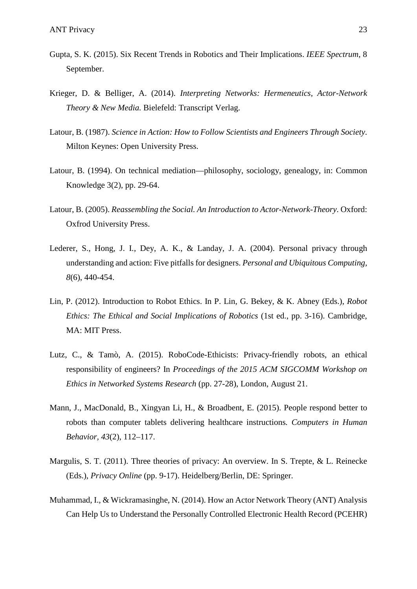- Gupta, S. K. (2015). Six Recent Trends in Robotics and Their Implications. *IEEE Spectrum*, 8 September.
- Krieger, D. & Belliger, A. (2014). *Interpreting Networks: Hermeneutics, Actor-Network Theory & New Media.* Bielefeld: Transcript Verlag.
- Latour, B. (1987). *Science in Action: How to Follow Scientists and Engineers Through Society*. Milton Keynes: Open University Press.
- Latour, B. (1994). On technical mediation—philosophy, sociology, genealogy, in: Common Knowledge 3(2), pp. 29-64.
- Latour, B. (2005). *Reassembling the Social. An Introduction to Actor-Network-Theory*. Oxford: Oxfrod University Press.
- Lederer, S., Hong, J. I., Dey, A. K., & Landay, J. A. (2004). Personal privacy through understanding and action: Five pitfalls for designers. *Personal and Ubiquitous Computing, 8*(6), 440-454.
- Lin, P. (2012). Introduction to Robot Ethics. In P. Lin, G. Bekey, & K. Abney (Eds.), *Robot Ethics: The Ethical and Social Implications of Robotics* (1st ed., pp. 3-16). Cambridge, MA: MIT Press.
- Lutz, C., & Tamò, A. (2015). RoboCode-Ethicists: Privacy-friendly robots, an ethical responsibility of engineers? In *Proceedings of the 2015 ACM SIGCOMM Workshop on Ethics in Networked Systems Research* (pp. 27-28), London, August 21.
- Mann, J., MacDonald, B., Xingyan Li, H., & Broadbent, E. (2015). People respond better to robots than computer tablets delivering healthcare instructions*. Computers in Human Behavior, 43*(2), 112–117.
- Margulis, S. T. (2011). Three theories of privacy: An overview. In S. Trepte, & L. Reinecke (Eds.), *Privacy Online* (pp. 9-17). Heidelberg/Berlin, DE: Springer.
- Muhammad, I., & Wickramasinghe, N. (2014). How an Actor Network Theory (ANT) Analysis Can Help Us to Understand the Personally Controlled Electronic Health Record (PCEHR)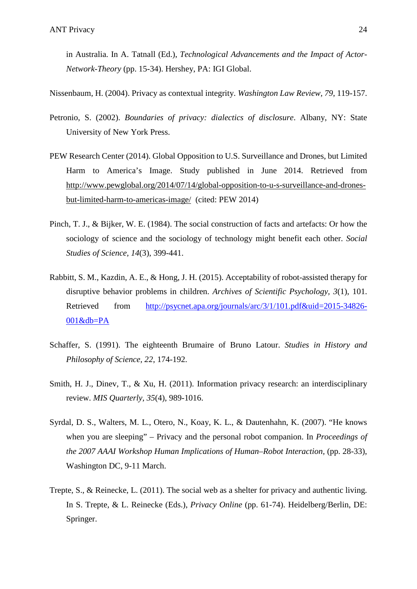in Australia. In A. Tatnall (Ed.), *Technological Advancements and the Impact of Actor-Network-Theory* (pp. 15-34). Hershey, PA: IGI Global.

Nissenbaum, H. (2004). Privacy as contextual integrity. *Washington Law Review, 79*, 119-157.

- Petronio, S. (2002). *Boundaries of privacy: dialectics of disclosure*. Albany, NY: State University of New York Press.
- PEW Research Center (2014). Global Opposition to U.S. Surveillance and Drones, but Limited Harm to America's Image. Study published in June 2014. Retrieved from [http://www.pewglobal.org/2014/07/14/global-opposition-to-u-s-surveillance-and-drones](http://www.pewglobal.org/2014/07/14/global-opposition-to-u-s-surveillance-and-drones-but-limited-harm-to-americas-image/)[but-limited-harm-to-americas-image/](http://www.pewglobal.org/2014/07/14/global-opposition-to-u-s-surveillance-and-drones-but-limited-harm-to-americas-image/) (cited: PEW 2014)
- Pinch, T. J., & Bijker, W. E. (1984). The social construction of facts and artefacts: Or how the sociology of science and the sociology of technology might benefit each other. *Social Studies of Science, 14*(3), 399-441.
- Rabbitt, S. M., Kazdin, A. E., & Hong, J. H. (2015). Acceptability of robot-assisted therapy for disruptive behavior problems in children. *Archives of Scientific Psychology, 3*(1), 101. Retrieved from [http://psycnet.apa.org/journals/arc/3/1/101.pdf&uid=2015-34826-](http://psycnet.apa.org/journals/arc/3/1/101.pdf&uid=2015-34826-001&db=PA) [001&db=PA](http://psycnet.apa.org/journals/arc/3/1/101.pdf&uid=2015-34826-001&db=PA)
- Schaffer, S. (1991). The eighteenth Brumaire of Bruno Latour. *Studies in History and Philosophy of Science, 22*, 174-192.
- Smith, H. J., Dinev, T., & Xu, H. (2011). Information privacy research: an interdisciplinary review. *MIS Quarterly, 35*(4), 989-1016.
- Syrdal, D. S., Walters, M. L., Otero, N., Koay, K. L., & Dautenhahn, K. (2007). "He knows when you are sleeping" – Privacy and the personal robot companion. In *Proceedings of the 2007 AAAI Workshop Human Implications of Human–Robot Interaction, (pp. 28-33),* Washington DC, 9-11 March.
- Trepte, S., & Reinecke, L. (2011). The social web as a shelter for privacy and authentic living. In S. Trepte, & L. Reinecke (Eds.), *Privacy Online* (pp. 61-74). Heidelberg/Berlin, DE: Springer.